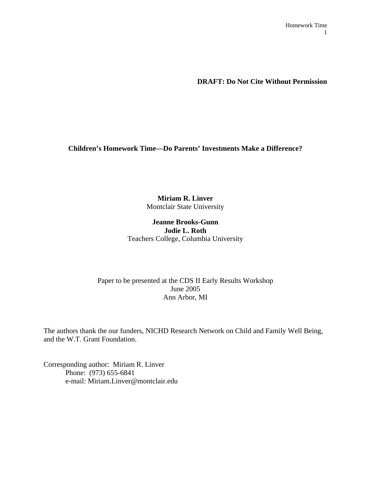**DRAFT: Do Not Cite Without Permission** 

**Children's Homework Time—Do Parents' Investments Make a Difference?** 

# **Miriam R. Linver**  Montclair State University

## **Jeanne Brooks-Gunn Jodie L. Roth**  Teachers College, Columbia University

# Paper to be presented at the CDS II Early Results Workshop June 2005 Ann Arbor, MI

The authors thank the our funders, NICHD Research Network on Child and Family Well Being, and the W.T. Grant Foundation.

Corresponding author: Miriam R. Linver Phone: (973) 655-6841 e-mail: Miriam.Linver@montclair.edu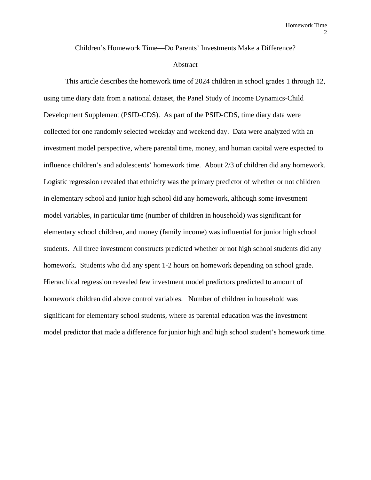Children's Homework Time—Do Parents' Investments Make a Difference?

### Abstract

 This article describes the homework time of 2024 children in school grades 1 through 12, using time diary data from a national dataset, the Panel Study of Income Dynamics-Child Development Supplement (PSID-CDS). As part of the PSID-CDS, time diary data were collected for one randomly selected weekday and weekend day. Data were analyzed with an investment model perspective, where parental time, money, and human capital were expected to influence children's and adolescents' homework time. About 2/3 of children did any homework. Logistic regression revealed that ethnicity was the primary predictor of whether or not children in elementary school and junior high school did any homework, although some investment model variables, in particular time (number of children in household) was significant for elementary school children, and money (family income) was influential for junior high school students. All three investment constructs predicted whether or not high school students did any homework. Students who did any spent 1-2 hours on homework depending on school grade. Hierarchical regression revealed few investment model predictors predicted to amount of homework children did above control variables. Number of children in household was significant for elementary school students, where as parental education was the investment model predictor that made a difference for junior high and high school student's homework time.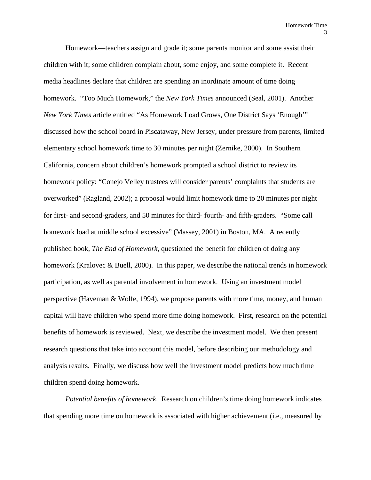Homework—teachers assign and grade it; some parents monitor and some assist their children with it; some children complain about, some enjoy, and some complete it. Recent media headlines declare that children are spending an inordinate amount of time doing homework. "Too Much Homework," the *New York Times* announced (Seal, 2001). Another *New York Times* article entitled "As Homework Load Grows, One District Says 'Enough'" discussed how the school board in Piscataway, New Jersey, under pressure from parents, limited elementary school homework time to 30 minutes per night (Zernike, 2000). In Southern California, concern about children's homework prompted a school district to review its homework policy: "Conejo Velley trustees will consider parents' complaints that students are overworked" (Ragland, 2002); a proposal would limit homework time to 20 minutes per night for first- and second-graders, and 50 minutes for third- fourth- and fifth-graders. "Some call homework load at middle school excessive" (Massey, 2001) in Boston, MA. A recently published book, *The End of Homework*, questioned the benefit for children of doing any homework (Kralovec & Buell, 2000). In this paper, we describe the national trends in homework participation, as well as parental involvement in homework. Using an investment model perspective (Haveman & Wolfe, 1994), we propose parents with more time, money, and human capital will have children who spend more time doing homework. First, research on the potential benefits of homework is reviewed. Next, we describe the investment model. We then present research questions that take into account this model, before describing our methodology and analysis results. Finally, we discuss how well the investment model predicts how much time children spend doing homework.

*Potential benefits of homework*. Research on children's time doing homework indicates that spending more time on homework is associated with higher achievement (i.e., measured by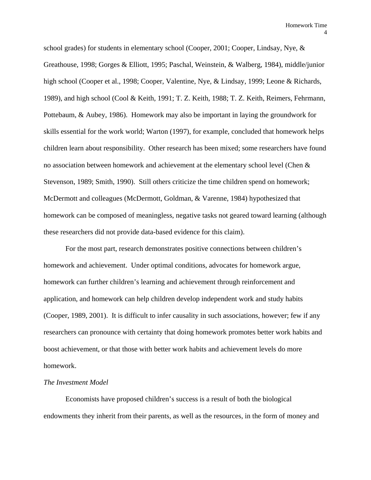school grades) for students in elementary school (Cooper, 2001; Cooper, Lindsay, Nye, & Greathouse, 1998; Gorges & Elliott, 1995; Paschal, Weinstein, & Walberg, 1984), middle/junior high school (Cooper et al., 1998; Cooper, Valentine, Nye, & Lindsay, 1999; Leone & Richards, 1989), and high school (Cool & Keith, 1991; T. Z. Keith, 1988; T. Z. Keith, Reimers, Fehrmann, Pottebaum, & Aubey, 1986). Homework may also be important in laying the groundwork for skills essential for the work world; Warton (1997), for example, concluded that homework helps children learn about responsibility. Other research has been mixed; some researchers have found no association between homework and achievement at the elementary school level (Chen & Stevenson, 1989; Smith, 1990). Still others criticize the time children spend on homework; McDermott and colleagues (McDermott, Goldman, & Varenne, 1984) hypothesized that homework can be composed of meaningless, negative tasks not geared toward learning (although these researchers did not provide data-based evidence for this claim).

For the most part, research demonstrates positive connections between children's homework and achievement. Under optimal conditions, advocates for homework argue, homework can further children's learning and achievement through reinforcement and application, and homework can help children develop independent work and study habits (Cooper, 1989, 2001). It is difficult to infer causality in such associations, however; few if any researchers can pronounce with certainty that doing homework promotes better work habits and boost achievement, or that those with better work habits and achievement levels do more homework.

#### *The Investment Model*

Economists have proposed children's success is a result of both the biological endowments they inherit from their parents, as well as the resources, in the form of money and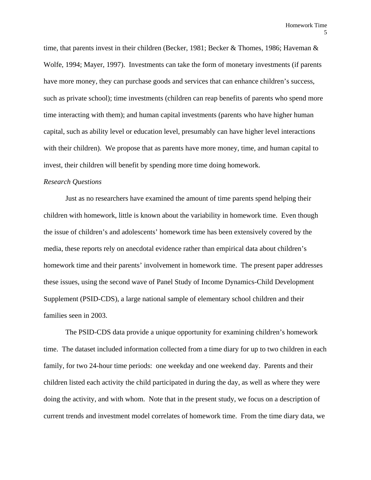time, that parents invest in their children (Becker, 1981; Becker & Thomes, 1986; Haveman & Wolfe, 1994; Mayer, 1997). Investments can take the form of monetary investments (if parents have more money, they can purchase goods and services that can enhance children's success, such as private school); time investments (children can reap benefits of parents who spend more time interacting with them); and human capital investments (parents who have higher human capital, such as ability level or education level, presumably can have higher level interactions with their children). We propose that as parents have more money, time, and human capital to invest, their children will benefit by spending more time doing homework.

### *Research Questions*

Just as no researchers have examined the amount of time parents spend helping their children with homework, little is known about the variability in homework time. Even though the issue of children's and adolescents' homework time has been extensively covered by the media, these reports rely on anecdotal evidence rather than empirical data about children's homework time and their parents' involvement in homework time. The present paper addresses these issues, using the second wave of Panel Study of Income Dynamics-Child Development Supplement (PSID-CDS), a large national sample of elementary school children and their families seen in 2003.

 The PSID-CDS data provide a unique opportunity for examining children's homework time. The dataset included information collected from a time diary for up to two children in each family, for two 24-hour time periods: one weekday and one weekend day. Parents and their children listed each activity the child participated in during the day, as well as where they were doing the activity, and with whom. Note that in the present study, we focus on a description of current trends and investment model correlates of homework time. From the time diary data, we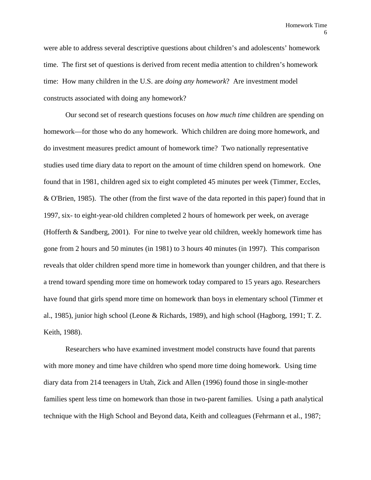were able to address several descriptive questions about children's and adolescents' homework time. The first set of questions is derived from recent media attention to children's homework time: How many children in the U.S. are *doing any homework*? Are investment model constructs associated with doing any homework?

 Our second set of research questions focuses on *how much time* children are spending on homework—for those who do any homework. Which children are doing more homework, and do investment measures predict amount of homework time? Two nationally representative studies used time diary data to report on the amount of time children spend on homework. One found that in 1981, children aged six to eight completed 45 minutes per week (Timmer, Eccles, & O'Brien, 1985). The other (from the first wave of the data reported in this paper) found that in 1997, six- to eight-year-old children completed 2 hours of homework per week, on average (Hofferth & Sandberg, 2001). For nine to twelve year old children, weekly homework time has gone from 2 hours and 50 minutes (in 1981) to 3 hours 40 minutes (in 1997). This comparison reveals that older children spend more time in homework than younger children, and that there is a trend toward spending more time on homework today compared to 15 years ago. Researchers have found that girls spend more time on homework than boys in elementary school (Timmer et al., 1985), junior high school (Leone & Richards, 1989), and high school (Hagborg, 1991; T. Z. Keith, 1988).

Researchers who have examined investment model constructs have found that parents with more money and time have children who spend more time doing homework. Using time diary data from 214 teenagers in Utah, Zick and Allen (1996) found those in single-mother families spent less time on homework than those in two-parent families. Using a path analytical technique with the High School and Beyond data, Keith and colleagues (Fehrmann et al., 1987;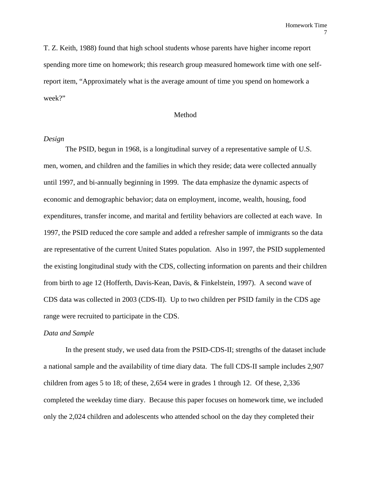T. Z. Keith, 1988) found that high school students whose parents have higher income report spending more time on homework; this research group measured homework time with one selfreport item, "Approximately what is the average amount of time you spend on homework a week?"

### Method

#### *Design*

The PSID, begun in 1968, is a longitudinal survey of a representative sample of U.S. men, women, and children and the families in which they reside; data were collected annually until 1997, and bi-annually beginning in 1999. The data emphasize the dynamic aspects of economic and demographic behavior; data on employment, income, wealth, housing, food expenditures, transfer income, and marital and fertility behaviors are collected at each wave. In 1997, the PSID reduced the core sample and added a refresher sample of immigrants so the data are representative of the current United States population. Also in 1997, the PSID supplemented the existing longitudinal study with the CDS, collecting information on parents and their children from birth to age 12 (Hofferth, Davis-Kean, Davis, & Finkelstein, 1997). A second wave of CDS data was collected in 2003 (CDS-II). Up to two children per PSID family in the CDS age range were recruited to participate in the CDS.

#### *Data and Sample*

 In the present study, we used data from the PSID-CDS-II; strengths of the dataset include a national sample and the availability of time diary data. The full CDS-II sample includes 2,907 children from ages 5 to 18; of these, 2,654 were in grades 1 through 12. Of these, 2,336 completed the weekday time diary. Because this paper focuses on homework time, we included only the 2,024 children and adolescents who attended school on the day they completed their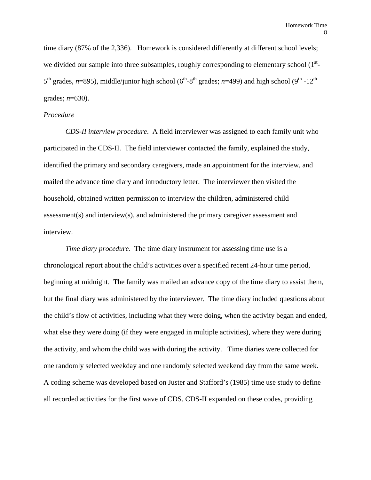time diary (87% of the 2,336). Homework is considered differently at different school levels; we divided our sample into three subsamples, roughly corresponding to elementary school  $(1<sup>st</sup> 5<sup>th</sup>$  grades, *n*=895), middle/junior high school ( $6<sup>th</sup>$ -8<sup>th</sup> grades; *n*=499) and high school ( $9<sup>th</sup>$ -12<sup>th</sup>) grades; *n*=630).

### *Procedure*

*CDS-II interview procedure*. A field interviewer was assigned to each family unit who participated in the CDS-II. The field interviewer contacted the family, explained the study, identified the primary and secondary caregivers, made an appointment for the interview, and mailed the advance time diary and introductory letter. The interviewer then visited the household, obtained written permission to interview the children, administered child assessment(s) and interview(s), and administered the primary caregiver assessment and interview.

*Time diary procedure*. The time diary instrument for assessing time use is a chronological report about the child's activities over a specified recent 24-hour time period, beginning at midnight. The family was mailed an advance copy of the time diary to assist them, but the final diary was administered by the interviewer. The time diary included questions about the child's flow of activities, including what they were doing, when the activity began and ended, what else they were doing (if they were engaged in multiple activities), where they were during the activity, and whom the child was with during the activity. Time diaries were collected for one randomly selected weekday and one randomly selected weekend day from the same week. A coding scheme was developed based on Juster and Stafford's (1985) time use study to define all recorded activities for the first wave of CDS. CDS-II expanded on these codes, providing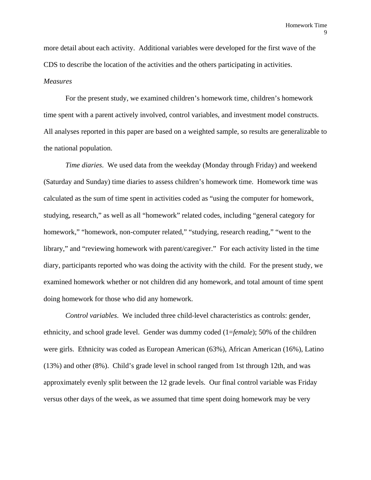more detail about each activity. Additional variables were developed for the first wave of the CDS to describe the location of the activities and the others participating in activities. *Measures* 

 For the present study, we examined children's homework time, children's homework time spent with a parent actively involved, control variables, and investment model constructs. All analyses reported in this paper are based on a weighted sample, so results are generalizable to the national population.

*Time diaries*. We used data from the weekday (Monday through Friday) and weekend (Saturday and Sunday) time diaries to assess children's homework time. Homework time was calculated as the sum of time spent in activities coded as "using the computer for homework, studying, research," as well as all "homework" related codes, including "general category for homework," "homework, non-computer related," "studying, research reading," "went to the library," and "reviewing homework with parent/caregiver." For each activity listed in the time diary, participants reported who was doing the activity with the child. For the present study, we examined homework whether or not children did any homework, and total amount of time spent doing homework for those who did any homework.

*Control variables*. We included three child-level characteristics as controls: gender, ethnicity, and school grade level. Gender was dummy coded (1=*female*); 50% of the children were girls. Ethnicity was coded as European American (63%), African American (16%), Latino (13%) and other (8%). Child's grade level in school ranged from 1st through 12th, and was approximately evenly split between the 12 grade levels. Our final control variable was Friday versus other days of the week, as we assumed that time spent doing homework may be very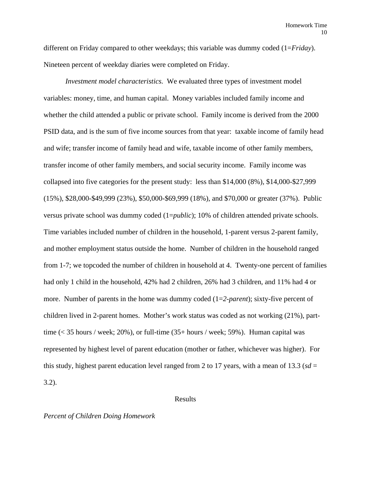different on Friday compared to other weekdays; this variable was dummy coded (1=*Friday*). Nineteen percent of weekday diaries were completed on Friday.

*Investment model characteristics.* We evaluated three types of investment model variables: money, time, and human capital. Money variables included family income and whether the child attended a public or private school. Family income is derived from the 2000 PSID data, and is the sum of five income sources from that year: taxable income of family head and wife; transfer income of family head and wife, taxable income of other family members, transfer income of other family members, and social security income. Family income was collapsed into five categories for the present study: less than \$14,000 (8%), \$14,000-\$27,999 (15%), \$28,000-\$49,999 (23%), \$50,000-\$69,999 (18%), and \$70,000 or greater (37%). Public versus private school was dummy coded (1=*public*); 10% of children attended private schools. Time variables included number of children in the household, 1-parent versus 2-parent family, and mother employment status outside the home. Number of children in the household ranged from 1-7; we topcoded the number of children in household at 4. Twenty-one percent of families had only 1 child in the household, 42% had 2 children, 26% had 3 children, and 11% had 4 or more. Number of parents in the home was dummy coded (1=*2-parent*); sixty-five percent of children lived in 2-parent homes. Mother's work status was coded as not working (21%), parttime (< 35 hours / week; 20%), or full-time (35+ hours / week; 59%). Human capital was represented by highest level of parent education (mother or father, whichever was higher). For this study, highest parent education level ranged from 2 to 17 years, with a mean of 13.3 ( $sd =$ 3.2).

### Results

#### *Percent of Children Doing Homework*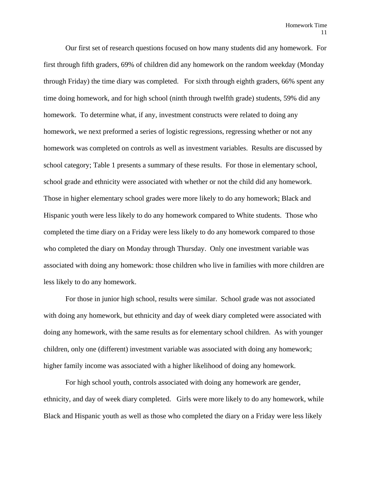Our first set of research questions focused on how many students did any homework. For first through fifth graders, 69% of children did any homework on the random weekday (Monday through Friday) the time diary was completed. For sixth through eighth graders, 66% spent any time doing homework, and for high school (ninth through twelfth grade) students, 59% did any homework. To determine what, if any, investment constructs were related to doing any homework, we next preformed a series of logistic regressions, regressing whether or not any homework was completed on controls as well as investment variables. Results are discussed by school category; Table 1 presents a summary of these results. For those in elementary school, school grade and ethnicity were associated with whether or not the child did any homework. Those in higher elementary school grades were more likely to do any homework; Black and Hispanic youth were less likely to do any homework compared to White students. Those who completed the time diary on a Friday were less likely to do any homework compared to those who completed the diary on Monday through Thursday. Only one investment variable was associated with doing any homework: those children who live in families with more children are less likely to do any homework.

For those in junior high school, results were similar. School grade was not associated with doing any homework, but ethnicity and day of week diary completed were associated with doing any homework, with the same results as for elementary school children. As with younger children, only one (different) investment variable was associated with doing any homework; higher family income was associated with a higher likelihood of doing any homework.

For high school youth, controls associated with doing any homework are gender, ethnicity, and day of week diary completed. Girls were more likely to do any homework, while Black and Hispanic youth as well as those who completed the diary on a Friday were less likely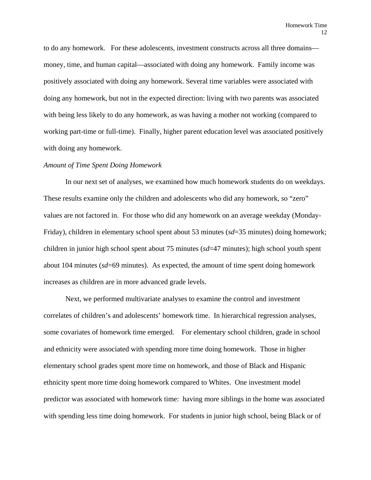to do any homework. For these adolescents, investment constructs across all three domains money, time, and human capital—associated with doing any homework. Family income was positively associated with doing any homework. Several time variables were associated with doing any homework, but not in the expected direction: living with two parents was associated with being less likely to do any homework, as was having a mother not working (compared to working part-time or full-time). Finally, higher parent education level was associated positively with doing any homework.

#### *Amount of Time Spent Doing Homework*

In our next set of analyses, we examined how much homework students do on weekdays. These results examine only the children and adolescents who did any homework, so "zero" values are not factored in. For those who did any homework on an average weekday (Monday-Friday), children in elementary school spent about 53 minutes (*sd*=35 minutes) doing homework; children in junior high school spent about 75 minutes (*sd*=47 minutes); high school youth spent about 104 minutes (*sd*=69 minutes). As expected, the amount of time spent doing homework increases as children are in more advanced grade levels.

Next, we performed multivariate analyses to examine the control and investment correlates of children's and adolescents' homework time. In hierarchical regression analyses, some covariates of homework time emerged. For elementary school children, grade in school and ethnicity were associated with spending more time doing homework. Those in higher elementary school grades spent more time on homework, and those of Black and Hispanic ethnicity spent more time doing homework compared to Whites. One investment model predictor was associated with homework time: having more siblings in the home was associated with spending less time doing homework. For students in junior high school, being Black or of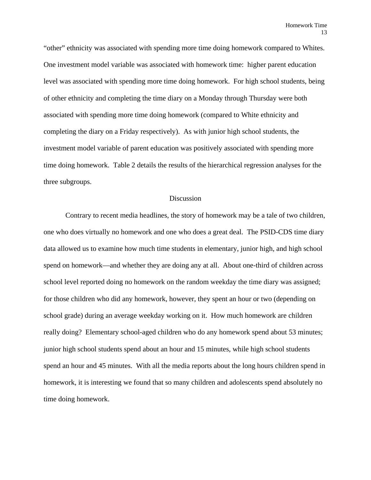"other" ethnicity was associated with spending more time doing homework compared to Whites. One investment model variable was associated with homework time: higher parent education level was associated with spending more time doing homework. For high school students, being of other ethnicity and completing the time diary on a Monday through Thursday were both associated with spending more time doing homework (compared to White ethnicity and completing the diary on a Friday respectively). As with junior high school students, the investment model variable of parent education was positively associated with spending more time doing homework. Table 2 details the results of the hierarchical regression analyses for the three subgroups.

#### Discussion

 Contrary to recent media headlines, the story of homework may be a tale of two children, one who does virtually no homework and one who does a great deal. The PSID-CDS time diary data allowed us to examine how much time students in elementary, junior high, and high school spend on homework—and whether they are doing any at all. About one-third of children across school level reported doing no homework on the random weekday the time diary was assigned; for those children who did any homework, however, they spent an hour or two (depending on school grade) during an average weekday working on it. How much homework are children really doing? Elementary school-aged children who do any homework spend about 53 minutes; junior high school students spend about an hour and 15 minutes, while high school students spend an hour and 45 minutes. With all the media reports about the long hours children spend in homework, it is interesting we found that so many children and adolescents spend absolutely no time doing homework.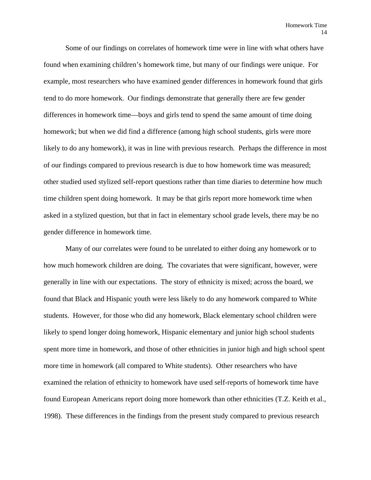Some of our findings on correlates of homework time were in line with what others have found when examining children's homework time, but many of our findings were unique. For example, most researchers who have examined gender differences in homework found that girls tend to do more homework. Our findings demonstrate that generally there are few gender differences in homework time—boys and girls tend to spend the same amount of time doing homework; but when we did find a difference (among high school students, girls were more likely to do any homework), it was in line with previous research. Perhaps the difference in most of our findings compared to previous research is due to how homework time was measured; other studied used stylized self-report questions rather than time diaries to determine how much time children spent doing homework. It may be that girls report more homework time when asked in a stylized question, but that in fact in elementary school grade levels, there may be no gender difference in homework time.

Many of our correlates were found to be unrelated to either doing any homework or to how much homework children are doing. The covariates that were significant, however, were generally in line with our expectations. The story of ethnicity is mixed; across the board, we found that Black and Hispanic youth were less likely to do any homework compared to White students. However, for those who did any homework, Black elementary school children were likely to spend longer doing homework, Hispanic elementary and junior high school students spent more time in homework, and those of other ethnicities in junior high and high school spent more time in homework (all compared to White students). Other researchers who have examined the relation of ethnicity to homework have used self-reports of homework time have found European Americans report doing more homework than other ethnicities (T.Z. Keith et al., 1998). These differences in the findings from the present study compared to previous research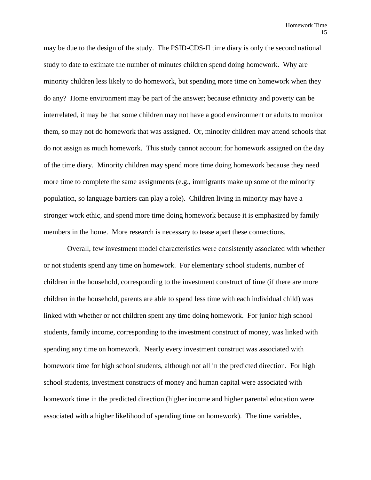may be due to the design of the study. The PSID-CDS-II time diary is only the second national study to date to estimate the number of minutes children spend doing homework. Why are minority children less likely to do homework, but spending more time on homework when they do any? Home environment may be part of the answer; because ethnicity and poverty can be interrelated, it may be that some children may not have a good environment or adults to monitor them, so may not do homework that was assigned. Or, minority children may attend schools that do not assign as much homework. This study cannot account for homework assigned on the day of the time diary. Minority children may spend more time doing homework because they need more time to complete the same assignments (e.g., immigrants make up some of the minority population, so language barriers can play a role). Children living in minority may have a stronger work ethic, and spend more time doing homework because it is emphasized by family members in the home. More research is necessary to tease apart these connections.

 Overall, few investment model characteristics were consistently associated with whether or not students spend any time on homework. For elementary school students, number of children in the household, corresponding to the investment construct of time (if there are more children in the household, parents are able to spend less time with each individual child) was linked with whether or not children spent any time doing homework. For junior high school students, family income, corresponding to the investment construct of money, was linked with spending any time on homework. Nearly every investment construct was associated with homework time for high school students, although not all in the predicted direction. For high school students, investment constructs of money and human capital were associated with homework time in the predicted direction (higher income and higher parental education were associated with a higher likelihood of spending time on homework). The time variables,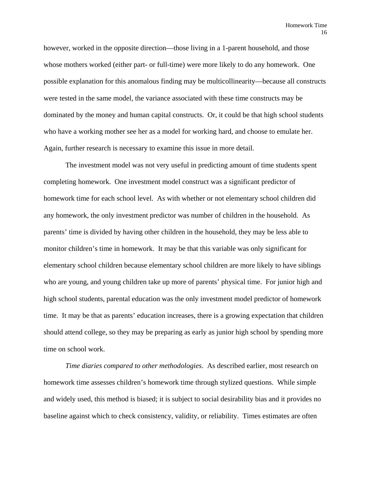however, worked in the opposite direction—those living in a 1-parent household, and those whose mothers worked (either part- or full-time) were more likely to do any homework. One possible explanation for this anomalous finding may be multicollinearity—because all constructs were tested in the same model, the variance associated with these time constructs may be dominated by the money and human capital constructs. Or, it could be that high school students who have a working mother see her as a model for working hard, and choose to emulate her. Again, further research is necessary to examine this issue in more detail.

The investment model was not very useful in predicting amount of time students spent completing homework. One investment model construct was a significant predictor of homework time for each school level. As with whether or not elementary school children did any homework, the only investment predictor was number of children in the household. As parents' time is divided by having other children in the household, they may be less able to monitor children's time in homework. It may be that this variable was only significant for elementary school children because elementary school children are more likely to have siblings who are young, and young children take up more of parents' physical time. For junior high and high school students, parental education was the only investment model predictor of homework time. It may be that as parents' education increases, there is a growing expectation that children should attend college, so they may be preparing as early as junior high school by spending more time on school work.

*Time diaries compared to other methodologies*. As described earlier, most research on homework time assesses children's homework time through stylized questions. While simple and widely used, this method is biased; it is subject to social desirability bias and it provides no baseline against which to check consistency, validity, or reliability. Times estimates are often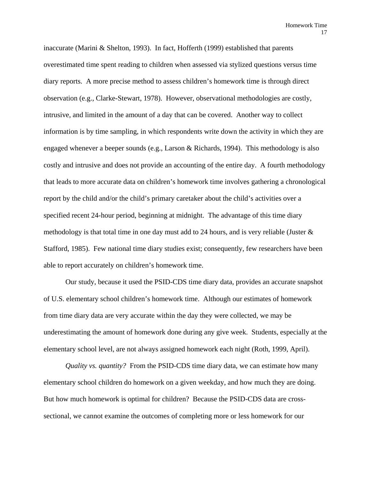inaccurate (Marini & Shelton, 1993). In fact, Hofferth (1999) established that parents overestimated time spent reading to children when assessed via stylized questions versus time diary reports. A more precise method to assess children's homework time is through direct observation (e.g., Clarke-Stewart, 1978). However, observational methodologies are costly, intrusive, and limited in the amount of a day that can be covered. Another way to collect information is by time sampling, in which respondents write down the activity in which they are engaged whenever a beeper sounds (e.g., Larson & Richards, 1994). This methodology is also costly and intrusive and does not provide an accounting of the entire day. A fourth methodology that leads to more accurate data on children's homework time involves gathering a chronological report by the child and/or the child's primary caretaker about the child's activities over a specified recent 24-hour period, beginning at midnight. The advantage of this time diary methodology is that total time in one day must add to 24 hours, and is very reliable (Juster  $\&$ Stafford, 1985). Few national time diary studies exist; consequently, few researchers have been able to report accurately on children's homework time.

Our study, because it used the PSID-CDS time diary data, provides an accurate snapshot of U.S. elementary school children's homework time. Although our estimates of homework from time diary data are very accurate within the day they were collected, we may be underestimating the amount of homework done during any give week. Students, especially at the elementary school level, are not always assigned homework each night (Roth, 1999, April).

*Quality vs. quantity?* From the PSID-CDS time diary data, we can estimate how many elementary school children do homework on a given weekday, and how much they are doing. But how much homework is optimal for children? Because the PSID-CDS data are crosssectional, we cannot examine the outcomes of completing more or less homework for our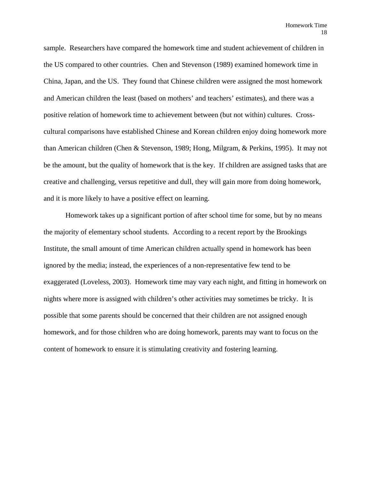sample. Researchers have compared the homework time and student achievement of children in the US compared to other countries. Chen and Stevenson (1989) examined homework time in China, Japan, and the US. They found that Chinese children were assigned the most homework and American children the least (based on mothers' and teachers' estimates), and there was a positive relation of homework time to achievement between (but not within) cultures. Crosscultural comparisons have established Chinese and Korean children enjoy doing homework more than American children (Chen & Stevenson, 1989; Hong, Milgram, & Perkins, 1995). It may not be the amount, but the quality of homework that is the key. If children are assigned tasks that are creative and challenging, versus repetitive and dull, they will gain more from doing homework, and it is more likely to have a positive effect on learning.

Homework takes up a significant portion of after school time for some, but by no means the majority of elementary school students. According to a recent report by the Brookings Institute, the small amount of time American children actually spend in homework has been ignored by the media; instead, the experiences of a non-representative few tend to be exaggerated (Loveless, 2003). Homework time may vary each night, and fitting in homework on nights where more is assigned with children's other activities may sometimes be tricky. It is possible that some parents should be concerned that their children are not assigned enough homework, and for those children who are doing homework, parents may want to focus on the content of homework to ensure it is stimulating creativity and fostering learning.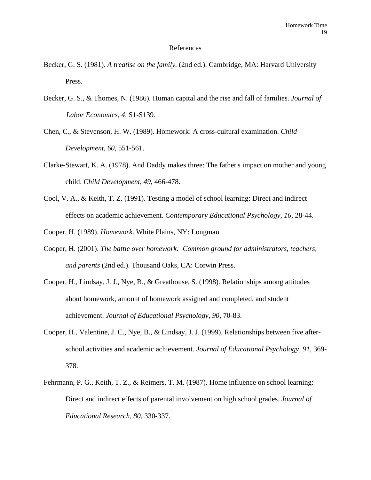#### References

- Becker, G. S. (1981). *A treatise on the family.* (2nd ed.). Cambridge, MA: Harvard University Press.
- Becker, G. S., & Thomes, N. (1986). Human capital and the rise and fall of families. *Journal of Labor Economics, 4,* S1-S139.
- Chen, C., & Stevenson, H. W. (1989). Homework: A cross-cultural examination. *Child Development, 60*, 551-561.
- Clarke-Stewart, K. A. (1978). And Daddy makes three: The father's impact on mother and young child. *Child Development, 49*, 466-478.
- Cool, V. A., & Keith, T. Z. (1991). Testing a model of school learning: Direct and indirect effects on academic achievement. *Contemporary Educational Psychology, 16*, 28-44.
- Cooper, H. (1989). *Homework*. White Plains, NY: Longman.
- Cooper, H. (2001). *The battle over homework: Common ground for administrators, teachers, and parents* (2nd ed.). Thousand Oaks, CA: Corwin Press.
- Cooper, H., Lindsay, J. J., Nye, B., & Greathouse, S. (1998). Relationships among attitudes about homework, amount of homework assigned and completed, and student achievement. *Journal of Educational Psychology, 90*, 70-83.
- Cooper, H., Valentine, J. C., Nye, B., & Lindsay, J. J. (1999). Relationships between five afterschool activities and academic achievement. *Journal of Educational Psychology, 91*, 369- 378.
- Fehrmann, P. G., Keith, T. Z., & Reimers, T. M. (1987). Home influence on school learning: Direct and indirect effects of parental involvement on high school grades. *Journal of Educational Research, 80*, 330-337.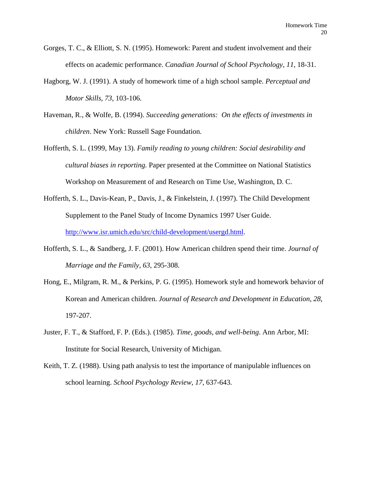- Gorges, T. C., & Elliott, S. N. (1995). Homework: Parent and student involvement and their effects on academic performance. *Canadian Journal of School Psychology, 11*, 18-31.
- Hagborg, W. J. (1991). A study of homework time of a high school sample. *Perceptual and Motor Skills, 73*, 103-106.
- Haveman, R., & Wolfe, B. (1994). *Succeeding generations: On the effects of investments in children*. New York: Russell Sage Foundation.
- Hofferth, S. L. (1999, May 13). *Family reading to young children: Social desirability and cultural biases in reporting.* Paper presented at the Committee on National Statistics Workshop on Measurement of and Research on Time Use, Washington, D. C.
- Hofferth, S. L., Davis-Kean, P., Davis, J., & Finkelstein, J. (1997). The Child Development Supplement to the Panel Study of Income Dynamics 1997 User Guide. <http://www.isr.umich.edu/src/child-development/usergd.html>.
- Hofferth, S. L., & Sandberg, J. F. (2001). How American children spend their time. *Journal of Marriage and the Family, 63*, 295-308.
- Hong, E., Milgram, R. M., & Perkins, P. G. (1995). Homework style and homework behavior of Korean and American children. *Journal of Research and Development in Education, 28*, 197-207.
- Juster, F. T., & Stafford, F. P. (Eds.). (1985). *Time, goods, and well-being*. Ann Arbor, MI: Institute for Social Research, University of Michigan.
- Keith, T. Z. (1988). Using path analysis to test the importance of manipulable influences on school learning. *School Psychology Review, 17*, 637-643.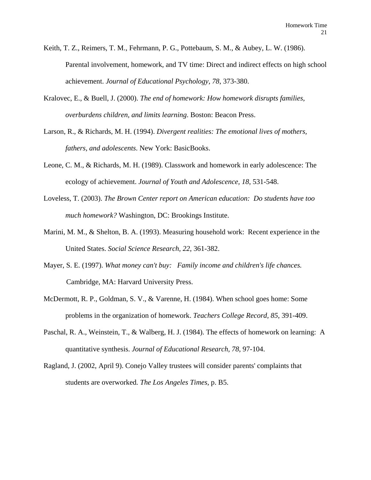- Keith, T. Z., Reimers, T. M., Fehrmann, P. G., Pottebaum, S. M., & Aubey, L. W. (1986). Parental involvement, homework, and TV time: Direct and indirect effects on high school achievement. *Journal of Educational Psychology, 78*, 373-380.
- Kralovec, E., & Buell, J. (2000). *The end of homework: How homework disrupts families, overburdens children, and limits learning*. Boston: Beacon Press.
- Larson, R., & Richards, M. H. (1994). *Divergent realities: The emotional lives of mothers, fathers, and adolescents*. New York: BasicBooks.
- Leone, C. M., & Richards, M. H. (1989). Classwork and homework in early adolescence: The ecology of achievement. *Journal of Youth and Adolescence, 18*, 531-548.
- Loveless, T. (2003). *The Brown Center report on American education: Do students have too much homework?* Washington, DC: Brookings Institute.
- Marini, M. M., & Shelton, B. A. (1993). Measuring household work: Recent experience in the United States. *Social Science Research, 22*, 361-382.
- Mayer, S. E. (1997). *What money can't buy: Family income and children's life chances.*  Cambridge, MA: Harvard University Press.
- McDermott, R. P., Goldman, S. V., & Varenne, H. (1984). When school goes home: Some problems in the organization of homework. *Teachers College Record, 85*, 391-409.
- Paschal, R. A., Weinstein, T., & Walberg, H. J. (1984). The effects of homework on learning: A quantitative synthesis. *Journal of Educational Research, 78*, 97-104.
- Ragland, J. (2002, April 9). Conejo Valley trustees will consider parents' complaints that students are overworked*. The Los Angeles Times,* p. B5.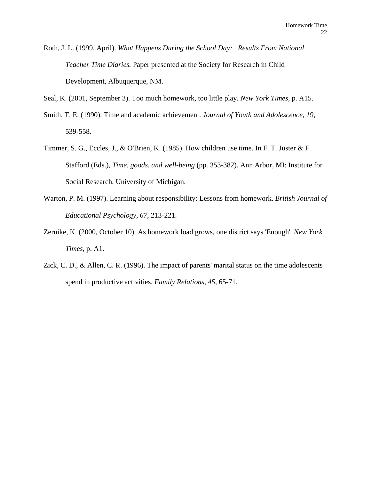Roth, J. L. (1999, April). *What Happens During the School Day: Results From National Teacher Time Diaries.* Paper presented at the Society for Research in Child Development, Albuquerque, NM.

Seal, K. (2001, September 3). Too much homework, too little play*. New York Times,* p. A15.

- Smith, T. E. (1990). Time and academic achievement. *Journal of Youth and Adolescence, 19*, 539-558.
- Timmer, S. G., Eccles, J., & O'Brien, K. (1985). How children use time. In F. T. Juster & F. Stafford (Eds.), *Time, goods, and well-being* (pp. 353-382). Ann Arbor, MI: Institute for Social Research, University of Michigan.
- Warton, P. M. (1997). Learning about responsibility: Lessons from homework. *British Journal of Educational Psychology, 67*, 213-221.
- Zernike, K. (2000, October 10). As homework load grows, one district says 'Enough'*. New York Times,* p. A1.
- Zick, C. D., & Allen, C. R. (1996). The impact of parents' marital status on the time adolescents spend in productive activities. *Family Relations, 45*, 65-71.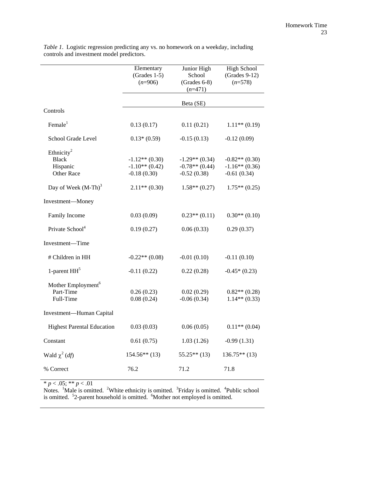|                                                                                                            | Elementary<br>$(Grades 1-5)$<br>$(n=906)$                                | Junior High<br>School<br>$(Grades 6-8)$<br>$(n=471)$                     | <b>High School</b><br>$(Grades 9-12)$<br>$(n=578)$                       |
|------------------------------------------------------------------------------------------------------------|--------------------------------------------------------------------------|--------------------------------------------------------------------------|--------------------------------------------------------------------------|
|                                                                                                            | Beta (SE)                                                                |                                                                          |                                                                          |
| Controls                                                                                                   |                                                                          |                                                                          |                                                                          |
| Female $1$                                                                                                 | 0.13(0.17)                                                               | 0.11(0.21)                                                               | $1.11**$ (0.19)                                                          |
| School Grade Level                                                                                         | $0.13*(0.59)$                                                            | $-0.15(0.13)$                                                            | $-0.12(0.09)$                                                            |
| Ethnicity <sup>2</sup><br><b>Black</b><br>Hispanic<br><b>Other Race</b><br>Day of Week (M-Th) <sup>3</sup> | $-1.12**$ (0.30)<br>$-1.10**$ (0.42)<br>$-0.18(0.30)$<br>$2.11**$ (0.30) | $-1.29**$ (0.34)<br>$-0.78**$ (0.44)<br>$-0.52(0.38)$<br>$1.58**$ (0.27) | $-0.82**$ (0.30)<br>$-1.16**$ (0.36)<br>$-0.61(0.34)$<br>$1.75**$ (0.25) |
| Investment-Money                                                                                           |                                                                          |                                                                          |                                                                          |
| Family Income                                                                                              | 0.03(0.09)                                                               | $0.23**$ (0.11)                                                          | $0.30**$ (0.10)                                                          |
| Private School <sup>4</sup>                                                                                | 0.19(0.27)                                                               | 0.06(0.33)                                                               | 0.29(0.37)                                                               |
| Investment—Time                                                                                            |                                                                          |                                                                          |                                                                          |
| # Children in HH                                                                                           | $-0.22**$ (0.08)                                                         | $-0.01(0.10)$                                                            | $-0.11(0.10)$                                                            |
| 1-parent $HH5$                                                                                             | $-0.11(0.22)$                                                            | 0.22(0.28)                                                               | $-0.45*(0.23)$                                                           |
| Mother Employment <sup>6</sup><br>Part-Time<br>Full-Time                                                   | 0.26(0.23)<br>0.08(0.24)                                                 | 0.02(0.29)<br>$-0.06(0.34)$                                              | $0.82**$ (0.28)<br>$1.14**$ (0.33)                                       |
| Investment-Human Capital                                                                                   |                                                                          |                                                                          |                                                                          |
| <b>Highest Parental Education</b>                                                                          | 0.03(0.03)                                                               | 0.06(0.05)                                                               | $0.11**$ (0.04)                                                          |
| Constant                                                                                                   | 0.61(0.75)                                                               | 1.03(1.26)                                                               | $-0.99(1.31)$                                                            |
| Wald $\chi^2$ ( <i>df</i> )                                                                                | $154.56**$ (13)                                                          | $55.25**(13)$                                                            | $136.75**(13)$                                                           |
| % Correct                                                                                                  | 76.2                                                                     | 71.2                                                                     | 71.8                                                                     |

*Table 1*. Logistic regression predicting any vs. no homework on a weekday, including controls and investment model predictors.

\* *p* < .05; \*\* *p* < .01

Notes. <sup>1</sup>Male is omitted. <sup>2</sup>White ethnicity is omitted. <sup>3</sup>Friday is omitted. <sup>4</sup>Public school is omitted.  $52$ -parent household is omitted.  $6M$ other not employed is omitted.